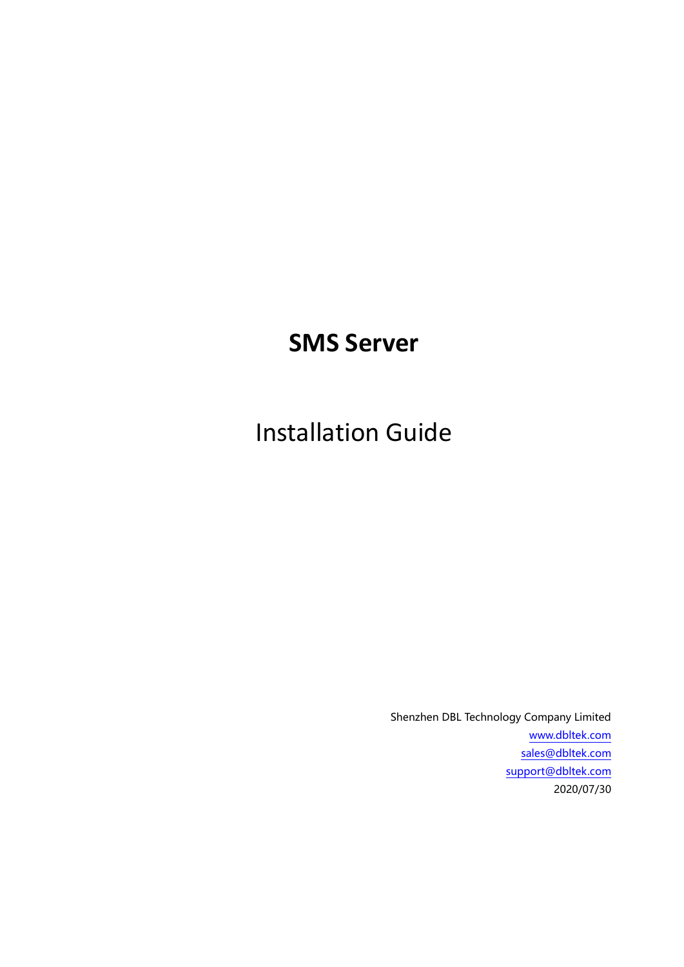# **SMS Server**

Installation Guide

Shenzhen DBL Technology Company Limited [www.dbltek.com](http://www.dbltek.com/) [sales@dbltek.com](mailto:sales@dbltek.com) [support@dbltek.com](mailto:support@dbltek.com) 2020/07/30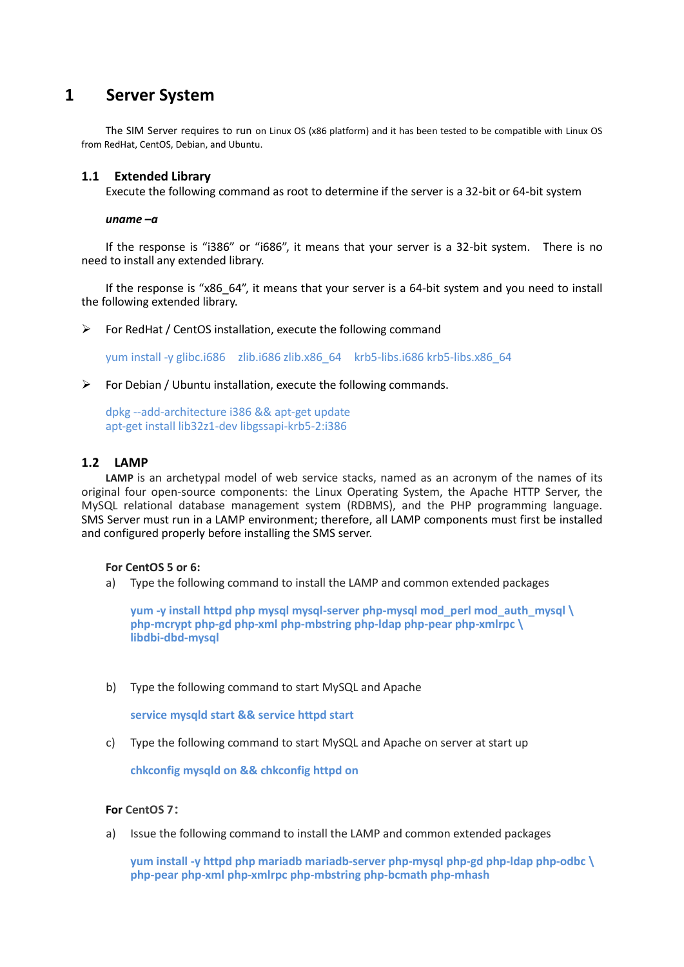# **1 Server System**

The SIM Server requires to run on Linux OS (x86 platform) and it has been tested to be compatible with Linux OS from RedHat, CentOS, Debian, and Ubuntu.

#### **1.1 Extended Library**

Execute the following command as root to determine if the server is a 32-bit or 64-bit system

#### *uname –a*

If the response is "i386" or "i686", it means that your server is a 32-bit system. There is no need to install any extended library.

If the response is "x86\_64", it means that your server is a 64-bit system and you need to install the following extended library.

 $\triangleright$  For RedHat / CentOS installation, execute the following command

yum install -y glibc.i686 zlib.i686 zlib.x86\_64 krb5-libs.i686 krb5-libs.x86\_64

#### $\triangleright$  For Debian / Ubuntu installation, execute the following commands.

dpkg --add-architecture i386 && apt-get update apt-get install lib32z1-dev libgssapi-krb5-2:i386

### **1.2 LAMP**

**LAMP** is an archetypal model of web service stacks, named as an acronym of the names of its original four open-source components: the Linux Operating System, the Apache HTTP Server, the MySQL relational database management system (RDBMS), and the PHP programming language. SMS Server must run in a LAMP environment; therefore, all LAMP components must first be installed and configured properly before installing the SMS server.

#### **For CentOS 5 or 6:**

a) Type the following command to install the LAMP and common extended packages

**yum -y install httpd php mysql mysql-server php-mysql mod\_perl mod\_auth\_mysql \ php-mcrypt php-gd php-xml php-mbstring php-ldap php-pear php-xmlrpc \ libdbi-dbd-mysql**

b) Type the following command to start MySQL and Apache

**service mysqld start && service httpd start**

c) Type the following command to start MySQL and Apache on server at start up

**chkconfig mysqld on && chkconfig httpd on**

#### **For CentOS 7:**

a) Issue the following command to install the LAMP and common extended packages

**yum install -y httpd php mariadb mariadb-server php-mysql php-gd php-ldap php-odbc \ php-pear php-xml php-xmlrpc php-mbstring php-bcmath php-mhash**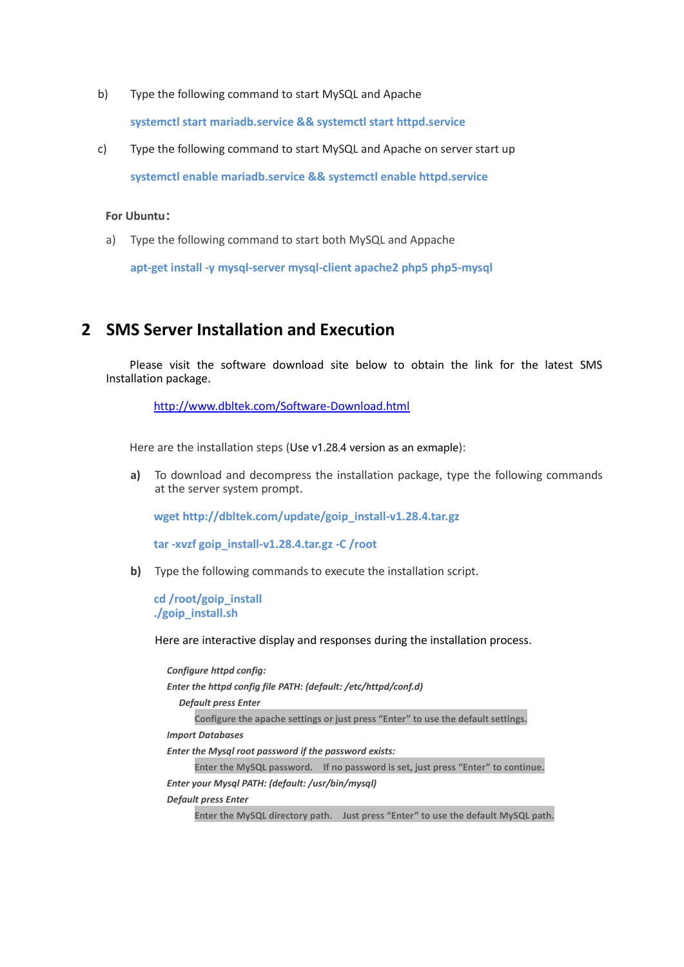b) Type the following command to start MySQL and Apache

**systemctl start mariadb.service && systemctl start httpd.service**

c) Type the following command to start MySQL and Apache on server start up **systemctl enable mariadb.service && systemctl enable httpd.service**

#### **For Ubuntu:**

a) Type the following command to start both MySQL and Appache

**apt-get install -y mysql-server mysql-client apache2 php5 php5-mysql**

# **2 SMS Server Installation and Execution**

Please visit the software download site below to obtain the link for the latest SMS Installation package.

<http://www.dbltek.com/Software-Download.html>

Here are the installation steps (Use v1.28.4 version as an exmaple):

**a)** To download and decompress the installation package, type the following commands at the server system prompt.

**wget http://dbltek.com/update/goip\_install-v1.28.4.tar.gz**

**tar -xvzf goip\_install-v1.28.4.tar.gz -C /root**

**b)** Type the following commands to execute the installation script.

**cd /root/goip\_install ./goip\_install.sh**

Here are interactive display and responses during the installation process.

*Configure httpd config: Enter the httpd config file PATH: (default: /etc/httpd/conf.d) Default press Enter*   **Configure the apache settings or just press "Enter" to use the default settings.** *Import Databases Enter the Mysql root password if the password exists:*  **Enter the MySQL password. If no password is set, just press "Enter" to continue.** *Enter your Mysql PATH: (default: /usr/bin/mysql) Default press Enter*  **Enter the MySQL directory path. Just press "Enter" to use the default MySQL path.**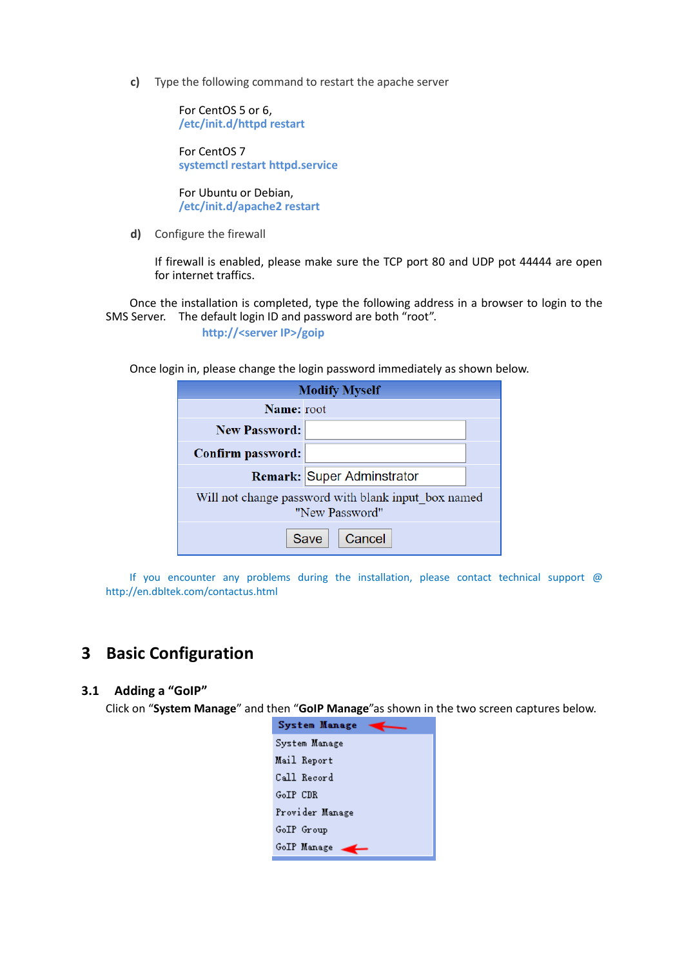**c)** Type the following command to restart the apache server

For CentOS 5 or 6, **/etc/init.d/httpd restart**

For CentOS 7 **systemctl restart httpd.service**

For Ubuntu or Debian, **/etc/init.d/apache2 restart**

**d)** Configure the firewall

If firewall is enabled, please make sure the TCP port 80 and UDP pot 44444 are open for internet traffics.

Once the installation is completed, type the following address in a browser to login to the SMS Server. The default login ID and password are both "root".

**http://<server IP>/goip**

Once login in, please change the login password immediately as shown below.

| <b>Modify Myself</b>                                                  |  |  |  |  |
|-----------------------------------------------------------------------|--|--|--|--|
| Name: root                                                            |  |  |  |  |
| <b>New Password:</b>                                                  |  |  |  |  |
| Confirm password:                                                     |  |  |  |  |
| <b>Remark: Super Adminstrator</b>                                     |  |  |  |  |
| Will not change password with blank input box named<br>"New Password" |  |  |  |  |
| Cancel<br>Save                                                        |  |  |  |  |

If you encounter any problems during the installation, please contact technical support  $@$ http://en.dbltek.com/contactus.html

# **3 Basic Configuration**

# **3.1 Adding a "GoIP"**

Click on "**System Manage**" and then "**GoIP Manage**"as shown in the two screen captures below.

|          | <b>System Manage</b> |  |
|----------|----------------------|--|
|          | System Manage        |  |
|          | Mail Report          |  |
|          | Call Record          |  |
| GoIP CDR |                      |  |
|          | Provider Manage      |  |
|          | GoIP Group           |  |
|          | GoIP Manage          |  |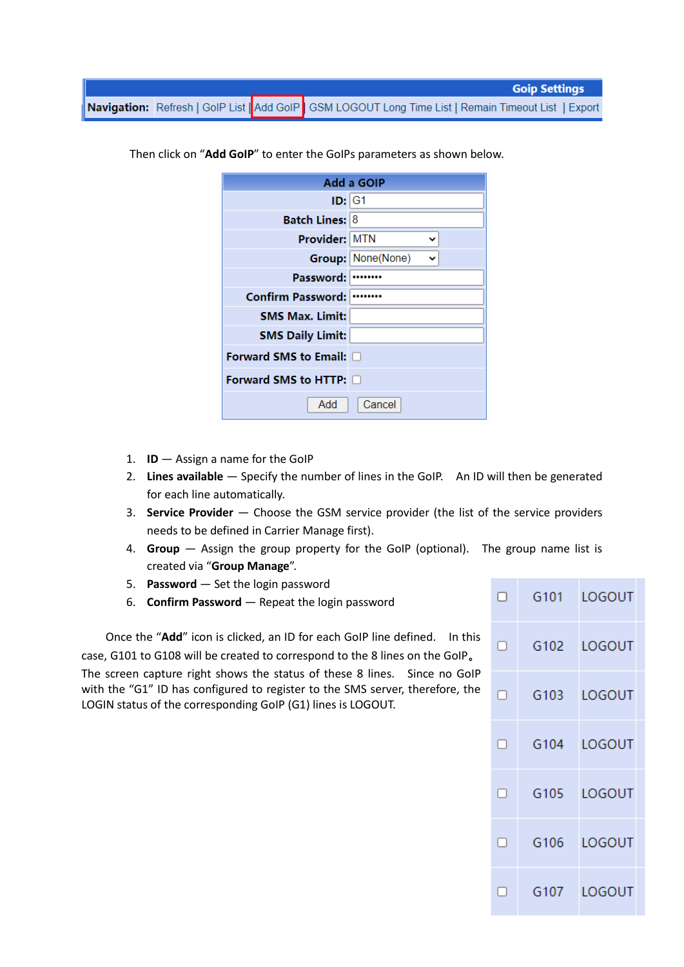|  | <b>Goip Settings</b>                                                                                  |
|--|-------------------------------------------------------------------------------------------------------|
|  | Navigation: Refresh   GolP List   Add GolP   GSM LOGOUT Long Time List   Remain Timeout List   Export |

| Add a GOIP                  |                        |  |  |  |  |
|-----------------------------|------------------------|--|--|--|--|
| ID:  G1                     |                        |  |  |  |  |
| <b>Batch Lines: 8</b>       |                        |  |  |  |  |
| Provider: MTN               |                        |  |  |  |  |
|                             | Group: None(None)<br>v |  |  |  |  |
| Password:                   |                        |  |  |  |  |
| <b>Confirm Password:</b>    |                        |  |  |  |  |
| <b>SMS Max. Limit:</b>      |                        |  |  |  |  |
| <b>SMS Daily Limit:</b>     |                        |  |  |  |  |
| Forward SMS to Email: 0     |                        |  |  |  |  |
| Forward SMS to HTTP: $\Box$ |                        |  |  |  |  |
| Add                         | Cancel                 |  |  |  |  |

Then click on "**Add GoIP**" to enter the GoIPs parameters as shown below.

- 1. **ID** Assign a name for the GoIP
- 2. **Lines available**  Specify the number of lines in the GoIP. An ID will then be generated for each line automatically.
- 3. **Service Provider**  Choose the GSM service provider (the list of the service providers needs to be defined in Carrier Manage first).
- 4. **Group**  Assign the group property for the GoIP (optional). The group name list is created via "**Group Manage**".
- 5. **Password** Set the login password
- 6. **Confirm Password**  Repeat the login password

Once the "**Add**" icon is clicked, an ID for each GoIP line defined. In this case, G101 to G108 will be created to correspond to the 8 lines on the GoIP。 The screen capture right shows the status of these 8 lines. Since no GoIP with the "G1" ID has configured to register to the SMS server, therefore, the LOGIN status of the corresponding GoIP (G1) lines is LOGOUT.

| $\Box$ | G101 | LOGOUT      |
|--------|------|-------------|
| $\Box$ |      | G102 LOGOUT |
| $\Box$ |      | G103 LOGOUT |
| $\Box$ |      | G104 LOGOUT |
| $\Box$ |      | G105 LOGOUT |
| $\Box$ |      | G106 LOGOUT |
| П      |      | G107 LOGOUT |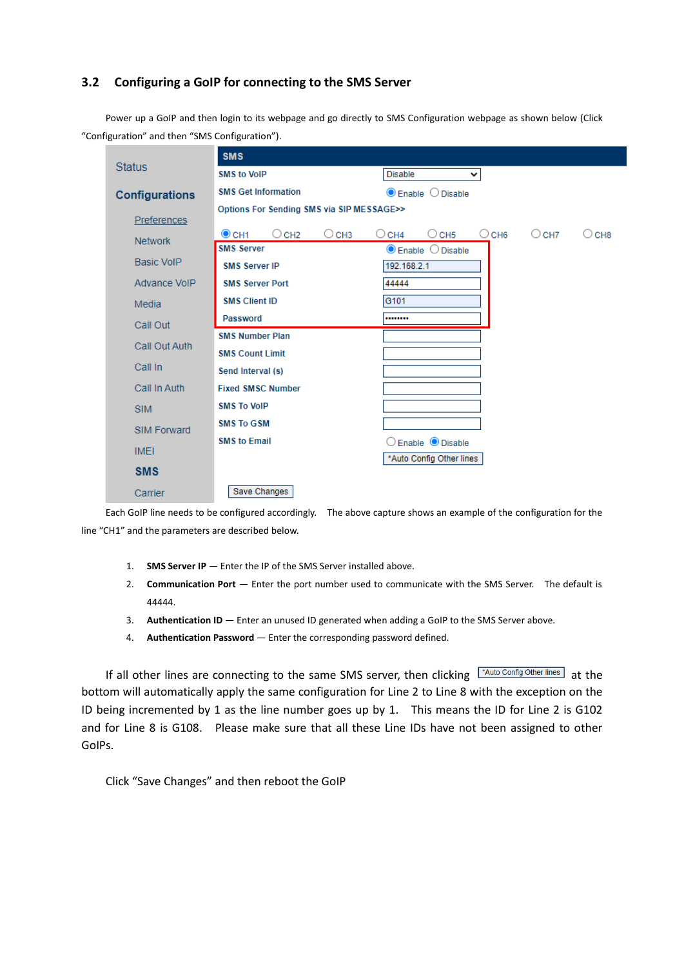# **3.2 Configuring a GoIP for connecting to the SMS Server**

Power up a GoIP and then login to its webpage and go directly to SMS Configuration webpage as shown below (Click "Configuration" and then "SMS Configuration").

|                       | <b>SMS</b>                                |                                                                |       |
|-----------------------|-------------------------------------------|----------------------------------------------------------------|-------|
| <b>Status</b>         | <b>SMS to VoIP</b>                        | <b>Disable</b><br>v                                            |       |
| <b>Configurations</b> | <b>SMS Get Information</b>                | $\bullet$ Enable $\circ$ Disable                               |       |
|                       | Options For Sending SMS via SIP MESSAGE>> |                                                                |       |
| Preferences           | $\odot$ CH1<br>$\circ$ CH2<br>○ снз       | $\bigcirc$ CH4<br>$\circ$ CH5<br>$\bigcirc$ CH6<br>$\circ$ CH7 | ○ снв |
| <b>Network</b>        | <b>SMS Server</b>                         | $\bullet$ Enable $\circ$ Disable                               |       |
| <b>Basic VoIP</b>     | <b>SMS Server IP</b>                      | 192.168.2.1                                                    |       |
| Advance VoIP          | <b>SMS Server Port</b>                    | 44444                                                          |       |
| Media                 | <b>SMS Client ID</b>                      | G101                                                           |       |
| Call Out              | Password                                  |                                                                |       |
|                       | <b>SMS Number Plan</b>                    |                                                                |       |
| Call Out Auth         | <b>SMS Count Limit</b>                    |                                                                |       |
| Call In               | Send Interval (s)                         |                                                                |       |
| Call In Auth          | <b>Fixed SMSC Number</b>                  |                                                                |       |
| <b>SIM</b>            | <b>SMS To VoIP</b>                        |                                                                |       |
| <b>SIM Forward</b>    | <b>SMS To GSM</b>                         |                                                                |       |
|                       | <b>SMS to Email</b>                       | Enable <i>O</i> Disable                                        |       |
| <b>IMEI</b>           |                                           | *Auto Config Other lines                                       |       |
| <b>SMS</b>            |                                           |                                                                |       |
| Carrier               | Save Changes                              |                                                                |       |

Each GoIP line needs to be configured accordingly. The above capture shows an example of the configuration for the line "CH1" and the parameters are described below.

- 1. **SMS Server IP** Enter the IP of the SMS Server installed above.
- 2. **Communication Port** Enter the port number used to communicate with the SMS Server. The default is 44444.
- 3. **Authentication ID**  Enter an unused ID generated when adding a GoIP to the SMS Server above.
- 4. **Authentication Password** Enter the corresponding password defined.

If all other lines are connecting to the same SMS server, then clicking  $\sqrt{\frac{A_{\text{tub Conf}}}{B_{\text{tub Conf}}}}$  at the bottom will automatically apply the same configuration for Line 2 to Line 8 with the exception on the ID being incremented by 1 as the line number goes up by 1. This means the ID for Line 2 is G102 and for Line 8 is G108. Please make sure that all these Line IDs have not been assigned to other GoIPs.

Click "Save Changes" and then reboot the GoIP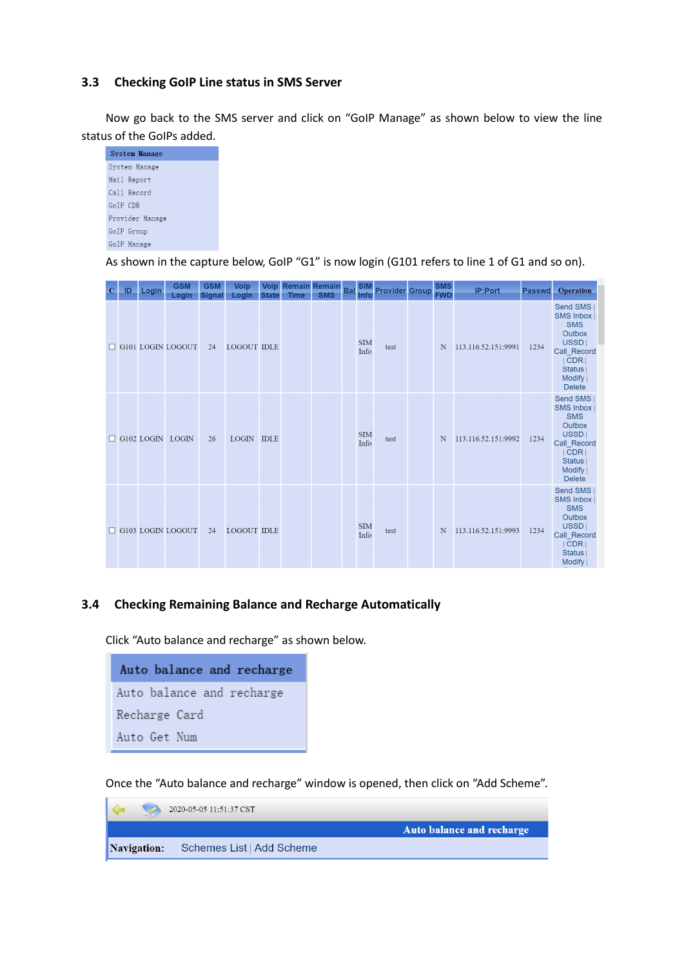# **3.3 Checking GoIP Line status in SMS Server**

Now go back to the SMS server and click on "GoIP Manage" as shown below to view the line status of the GoIPs added.



As shown in the capture below, GoIP "G1" is now login (G101 refers to line 1 of G1 and so on).

| $\mathbf C$ | ID | Login | <b>GSM</b><br>Login      | <b>GSM</b><br><b>Signal</b> | Voip<br>Login      | <b>State</b> | <b>Time</b> | Voip Remain Remain<br><b>SMS</b> | <b>Bal</b> SIM<br>Info | <b>Provider Group</b> | SMS<br>FWD | IP:Port             | <b>Passwd</b> | Operation                                                                                                                            |
|-------------|----|-------|--------------------------|-----------------------------|--------------------|--------------|-------------|----------------------------------|------------------------|-----------------------|------------|---------------------|---------------|--------------------------------------------------------------------------------------------------------------------------------------|
|             |    |       | G101 LOGIN LOGOUT        | 24                          | <b>LOGOUT IDLE</b> |              |             |                                  | <b>SIM</b><br>Info     | test                  | N          | 113.116.52.151:9991 | 1234          | Send SMS<br><b>SMS Inbox</b><br><b>SMS</b><br>Outbox<br>USSD  <br>Call Record<br>CDR<br>Status  <br>Modify  <br><b>Delete</b>        |
| п           |    |       | G102 LOGIN LOGIN         | 26                          | LOGIN IDLE         |              |             |                                  | <b>SIM</b><br>Info     | test                  | N          | 113.116.52.151:9992 | 1234          | Send SMS<br><b>SMS Inbox</b><br><b>SMS</b><br>Outbox<br>USSD  <br>Call Record<br> CDR <br><b>Status</b><br>Modify  <br><b>Delete</b> |
|             |    |       | $\Box$ G103 LOGIN LOGOUT | 24                          | <b>LOGOUT IDLE</b> |              |             |                                  | <b>SIM</b><br>Info     | test                  | N          | 113.116.52.151:9993 | 1234          | Send SMS<br><b>SMS Inbox</b><br><b>SMS</b><br>Outbox<br>USSD  <br>Call Record<br>CDR<br>Status  <br>Modify                           |

### **3.4 Checking Remaining Balance and Recharge Automatically**

Click "Auto balance and recharge" as shown below.

| Auto balance and recharge |
|---------------------------|
| Auto balance and recharge |
| Recharge Card             |
| Auto Get Num              |

Once the "Auto balance and recharge" window is opened, then click on "Add Scheme".

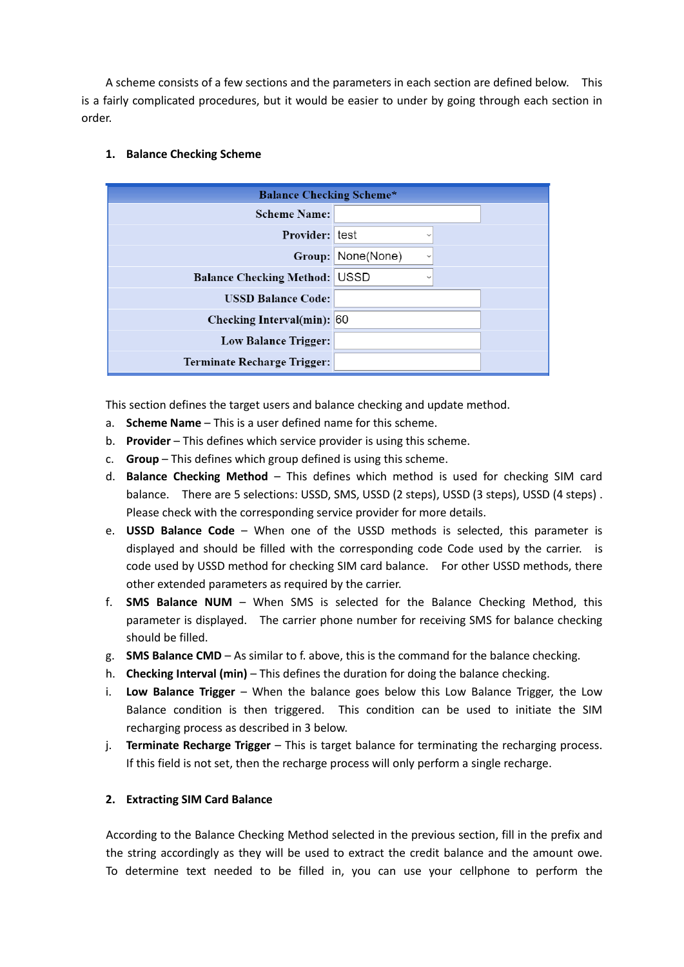A scheme consists of a few sections and the parameters in each section are defined below. This is a fairly complicated procedures, but it would be easier to under by going through each section in order.

# **1. Balance Checking Scheme**

| <b>Balance Checking Scheme*</b>    |                             |  |  |  |  |
|------------------------------------|-----------------------------|--|--|--|--|
| <b>Scheme Name:</b>                |                             |  |  |  |  |
| Provider: test                     | $\checkmark$                |  |  |  |  |
| Group:                             | None(None)<br>$\checkmark$  |  |  |  |  |
| <b>Balance Checking Method:</b>    | <b>USSD</b><br>$\checkmark$ |  |  |  |  |
| <b>USSD Balance Code:</b>          |                             |  |  |  |  |
| Checking Interval(min): 60         |                             |  |  |  |  |
| <b>Low Balance Trigger:</b>        |                             |  |  |  |  |
| <b>Terminate Recharge Trigger:</b> |                             |  |  |  |  |

This section defines the target users and balance checking and update method.

- a. **Scheme Name** This is a user defined name for this scheme.
- b. **Provider** This defines which service provider is using this scheme.
- c. **Group** This defines which group defined is using this scheme.
- d. **Balance Checking Method** This defines which method is used for checking SIM card balance. There are 5 selections: USSD, SMS, USSD (2 steps), USSD (3 steps), USSD (4 steps) . Please check with the corresponding service provider for more details.
- e. **USSD Balance Code** When one of the USSD methods is selected, this parameter is displayed and should be filled with the corresponding code Code used by the carrier. is code used by USSD method for checking SIM card balance. For other USSD methods, there other extended parameters as required by the carrier.
- f. **SMS Balance NUM** When SMS is selected for the Balance Checking Method, this parameter is displayed. The carrier phone number for receiving SMS for balance checking should be filled.
- g. **SMS Balance CMD** As similar to f. above, this is the command for the balance checking.
- h. **Checking Interval (min)** This defines the duration for doing the balance checking.
- i. **Low Balance Trigger** When the balance goes below this Low Balance Trigger, the Low Balance condition is then triggered. This condition can be used to initiate the SIM recharging process as described in 3 below.
- j. **Terminate Recharge Trigger** This is target balance for terminating the recharging process. If this field is not set, then the recharge process will only perform a single recharge.

# **2. Extracting SIM Card Balance**

According to the Balance Checking Method selected in the previous section, fill in the prefix and the string accordingly as they will be used to extract the credit balance and the amount owe. To determine text needed to be filled in, you can use your cellphone to perform the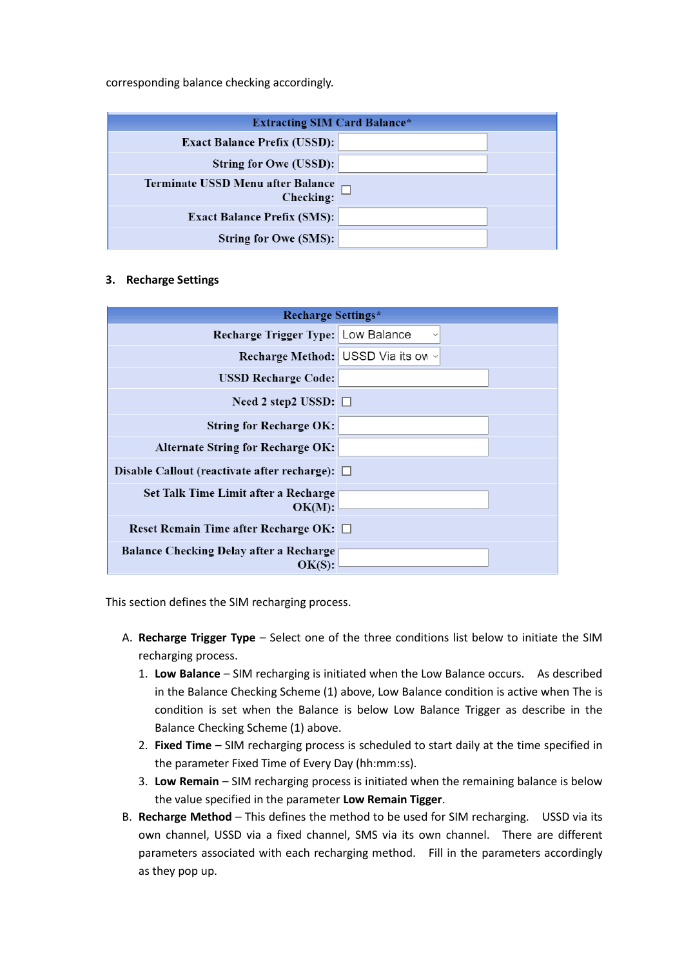corresponding balance checking accordingly.

| <b>Extracting SIM Card Balance*</b>            |  |  |  |  |
|------------------------------------------------|--|--|--|--|
| <b>Exact Balance Prefix (USSD):</b>            |  |  |  |  |
| String for Owe (USSD):                         |  |  |  |  |
| Terminate USSD Menu after Balance<br>Checking: |  |  |  |  |
| <b>Exact Balance Prefix (SMS):</b>             |  |  |  |  |
| String for Owe (SMS):                          |  |  |  |  |

#### **3. Recharge Settings**

| <b>Recharge Settings*</b>                           |                                    |  |  |  |
|-----------------------------------------------------|------------------------------------|--|--|--|
| Recharge Trigger Type: Low Balance                  | $\checkmark$                       |  |  |  |
|                                                     | Recharge Method: USSD Via its ow ~ |  |  |  |
| <b>USSD Recharge Code:</b>                          |                                    |  |  |  |
| Need 2 step2 USSD: $\Box$                           |                                    |  |  |  |
| <b>String for Recharge OK:</b>                      |                                    |  |  |  |
| <b>Alternate String for Recharge OK:</b>            |                                    |  |  |  |
| Disable Callout (reactivate after recharge): $\Box$ |                                    |  |  |  |
| Set Talk Time Limit after a Recharge<br>OK(M):      |                                    |  |  |  |
| Reset Remain Time after Recharge OK: □              |                                    |  |  |  |
| Balance Checking Delay after a Recharge<br>OK(S):   |                                    |  |  |  |

This section defines the SIM recharging process.

- A. **Recharge Trigger Type** Select one of the three conditions list below to initiate the SIM recharging process.
	- 1. **Low Balance** SIM recharging is initiated when the Low Balance occurs. As described in the Balance Checking Scheme (1) above, Low Balance condition is active when The is condition is set when the Balance is below Low Balance Trigger as describe in the Balance Checking Scheme (1) above.
	- 2. **Fixed Time** SIM recharging process is scheduled to start daily at the time specified in the parameter Fixed Time of Every Day (hh:mm:ss).
	- 3. **Low Remain** SIM recharging process is initiated when the remaining balance is below the value specified in the parameter **Low Remain Tigger**.
- B. **Recharge Method** This defines the method to be used for SIM recharging. USSD via its own channel, USSD via a fixed channel, SMS via its own channel. There are different parameters associated with each recharging method. Fill in the parameters accordingly as they pop up.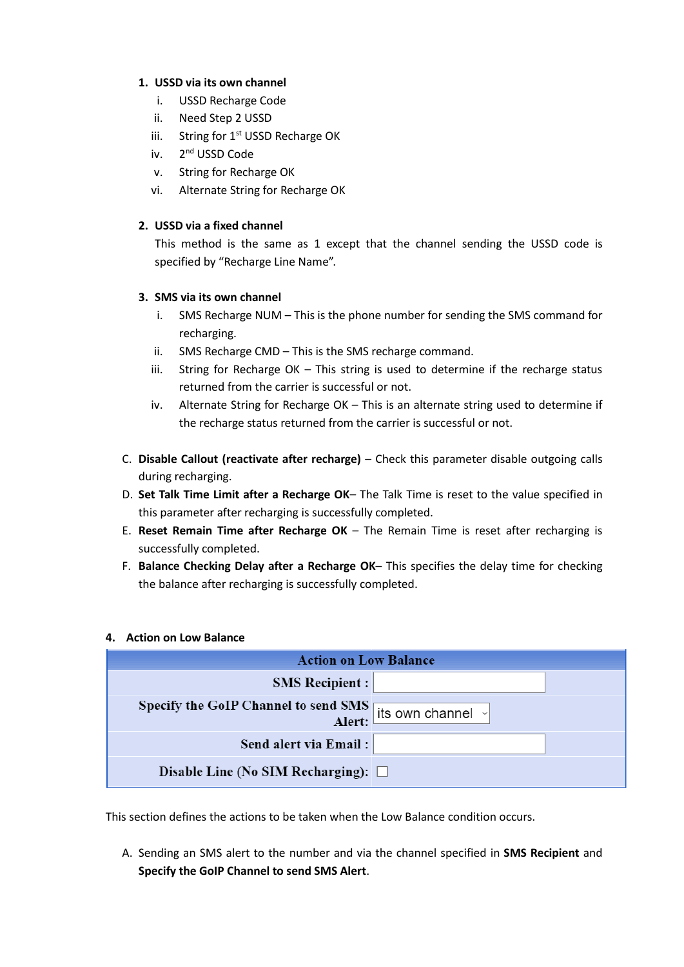# **1. USSD via its own channel**

- i. USSD Recharge Code
- ii. Need Step 2 USSD
- iii. String for  $1<sup>st</sup>$  USSD Recharge OK
- iv. 2<sup>nd</sup> USSD Code
- v. String for Recharge OK
- vi. Alternate String for Recharge OK

# **2. USSD via a fixed channel**

This method is the same as 1 except that the channel sending the USSD code is specified by "Recharge Line Name".

# **3. SMS via its own channel**

- i. SMS Recharge NUM This is the phone number for sending the SMS command for recharging.
- ii. SMS Recharge CMD This is the SMS recharge command.
- iii. String for Recharge OK This string is used to determine if the recharge status returned from the carrier is successful or not.
- iv. Alternate String for Recharge OK This is an alternate string used to determine if the recharge status returned from the carrier is successful or not.
- C. **Disable Callout (reactivate after recharge)** Check this parameter disable outgoing calls during recharging.
- D. **Set Talk Time Limit after a Recharge OK** The Talk Time is reset to the value specified in this parameter after recharging is successfully completed.
- E. **Reset Remain Time after Recharge OK** The Remain Time is reset after recharging is successfully completed.
- F. **Balance Checking Delay after a Recharge OK** This specifies the delay time for checking the balance after recharging is successfully completed.

### **4. Action on Low Balance**

| <b>Action on Low Balance</b>                                          |  |  |  |  |  |
|-----------------------------------------------------------------------|--|--|--|--|--|
| <b>SMS Recipient:</b>                                                 |  |  |  |  |  |
| Specify the GoIP Channel to send SMS<br>Alert: its own channel $\sim$ |  |  |  |  |  |
| Send alert via Email:                                                 |  |  |  |  |  |
| Disable Line (No SIM Recharging): $\square$                           |  |  |  |  |  |

This section defines the actions to be taken when the Low Balance condition occurs.

A. Sending an SMS alert to the number and via the channel specified in **SMS Recipient** and **Specify the GoIP Channel to send SMS Alert**.